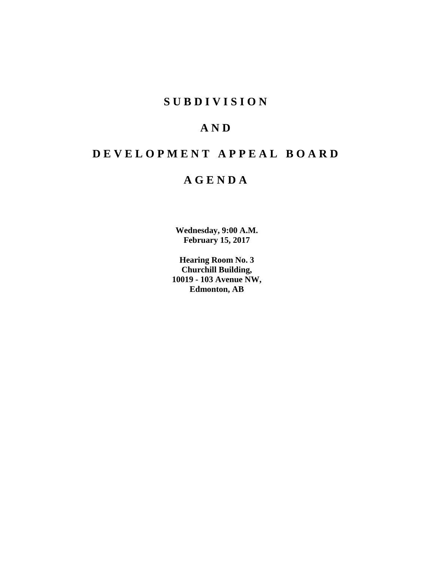# **S U B D I V I S I O N**

# **A N D**

# **D E V E L O P M E N T A P P E A L B O A R D**

# **A G E N D A**

**Wednesday, 9:00 A.M. February 15, 2017**

**Hearing Room No. 3 Churchill Building, 10019 - 103 Avenue NW, Edmonton, AB**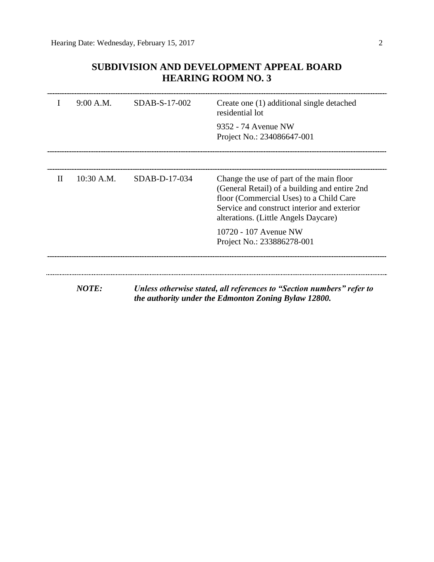# **SUBDIVISION AND DEVELOPMENT APPEAL BOARD HEARING ROOM NO. 3**

|   | 9:00 A.M.    | SDAB-S-17-002                                                                                                                 | Create one (1) additional single detached<br>residential lot                                                                                                                                                                |  |  |
|---|--------------|-------------------------------------------------------------------------------------------------------------------------------|-----------------------------------------------------------------------------------------------------------------------------------------------------------------------------------------------------------------------------|--|--|
|   |              |                                                                                                                               | 9352 - 74 Avenue NW<br>Project No.: 234086647-001                                                                                                                                                                           |  |  |
|   |              |                                                                                                                               |                                                                                                                                                                                                                             |  |  |
| H | $10:30$ A.M. | SDAB-D-17-034                                                                                                                 | Change the use of part of the main floor<br>(General Retail) of a building and entire 2nd<br>floor (Commercial Uses) to a Child Care<br>Service and construct interior and exterior<br>alterations. (Little Angels Daycare) |  |  |
|   |              |                                                                                                                               | 10720 - 107 Avenue NW<br>Project No.: 233886278-001                                                                                                                                                                         |  |  |
|   |              |                                                                                                                               |                                                                                                                                                                                                                             |  |  |
|   | <b>NOTE:</b> | Unless otherwise stated, all references to "Section numbers" refer to<br>the authority under the Edmonton Zoning Bylaw 12800. |                                                                                                                                                                                                                             |  |  |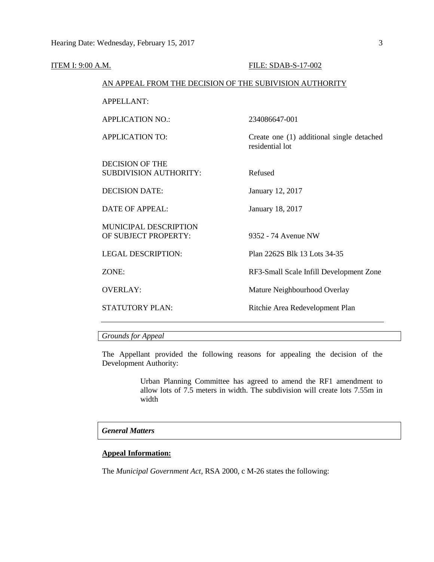| ITEM I: 9:00 A.M. |                                                         | FILE: SDAB-S-17-002                                          |
|-------------------|---------------------------------------------------------|--------------------------------------------------------------|
|                   | AN APPEAL FROM THE DECISION OF THE SUBIVISION AUTHORITY |                                                              |
|                   | <b>APPELLANT:</b>                                       |                                                              |
|                   | <b>APPLICATION NO.:</b>                                 | 234086647-001                                                |
|                   | <b>APPLICATION TO:</b>                                  | Create one (1) additional single detached<br>residential lot |
|                   | <b>DECISION OF THE</b><br><b>SUBDIVISION AUTHORITY:</b> | Refused                                                      |
|                   | <b>DECISION DATE:</b>                                   | January 12, 2017                                             |
|                   | <b>DATE OF APPEAL:</b>                                  | January 18, 2017                                             |
|                   | MUNICIPAL DESCRIPTION<br>OF SUBJECT PROPERTY:           | 9352 - 74 Avenue NW                                          |
|                   | <b>LEGAL DESCRIPTION:</b>                               | Plan 2262S Blk 13 Lots 34-35                                 |
|                   | ZONE:                                                   | RF3-Small Scale Infill Development Zone                      |
|                   | <b>OVERLAY:</b>                                         | Mature Neighbourhood Overlay                                 |
|                   | <b>STATUTORY PLAN:</b>                                  | Ritchie Area Redevelopment Plan                              |
|                   |                                                         |                                                              |

*Grounds for Appeal*

The Appellant provided the following reasons for appealing the decision of the Development Authority:

> Urban Planning Committee has agreed to amend the RF1 amendment to allow lots of 7.5 meters in width. The subdivision will create lots 7.55m in width

# *General Matters*

# **Appeal Information:**

The *Municipal Government Act*, RSA 2000, c M-26 states the following: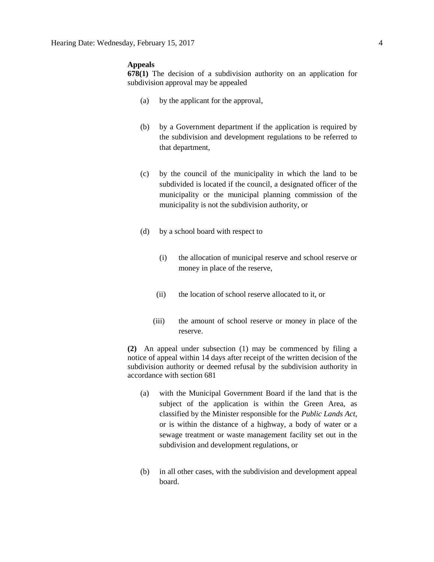#### **Appeals**

**678(1)** The decision of a subdivision authority on an application for subdivision approval may be appealed

- (a) by the applicant for the approval,
- (b) by a Government department if the application is required by the subdivision and development regulations to be referred to that department,
- (c) by the council of the municipality in which the land to be subdivided is located if the council, a designated officer of the municipality or the municipal planning commission of the municipality is not the subdivision authority, or
- (d) by a school board with respect to
	- (i) the allocation of municipal reserve and school reserve or money in place of the reserve,
	- (ii) the location of school reserve allocated to it, or
	- (iii) the amount of school reserve or money in place of the reserve.

**(2)** An appeal under subsection (1) may be commenced by filing a notice of appeal within 14 days after receipt of the written decision of the subdivision authority or deemed refusal by the subdivision authority in accordance with section 681

- (a) with the Municipal Government Board if the land that is the subject of the application is within the Green Area, as classified by the Minister responsible for the *Public Lands Act*, or is within the distance of a highway, a body of water or a sewage treatment or waste management facility set out in the subdivision and development regulations, or
- (b) in all other cases, with the subdivision and development appeal board.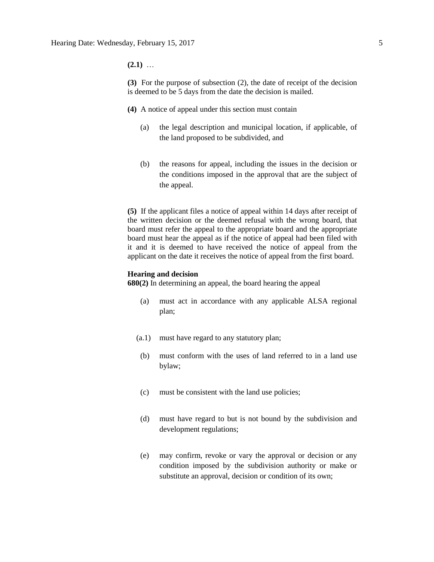**(2.1)** …

**(3)** For the purpose of subsection (2), the date of receipt of the decision is deemed to be 5 days from the date the decision is mailed.

- **(4)** A notice of appeal under this section must contain
	- (a) the legal description and municipal location, if applicable, of the land proposed to be subdivided, and
	- (b) the reasons for appeal, including the issues in the decision or the conditions imposed in the approval that are the subject of the appeal.

**(5)** If the applicant files a notice of appeal within 14 days after receipt of the written decision or the deemed refusal with the wrong board, that board must refer the appeal to the appropriate board and the appropriate board must hear the appeal as if the notice of appeal had been filed with it and it is deemed to have received the notice of appeal from the applicant on the date it receives the notice of appeal from the first board.

#### **Hearing and decision**

**680(2)** In determining an appeal, the board hearing the appeal

- (a) must act in accordance with any applicable ALSA regional plan;
- (a.1) must have regard to any statutory plan;
- (b) must conform with the uses of land referred to in a land use bylaw;
- (c) must be consistent with the land use policies;
- (d) must have regard to but is not bound by the subdivision and development regulations;
- (e) may confirm, revoke or vary the approval or decision or any condition imposed by the subdivision authority or make or substitute an approval, decision or condition of its own;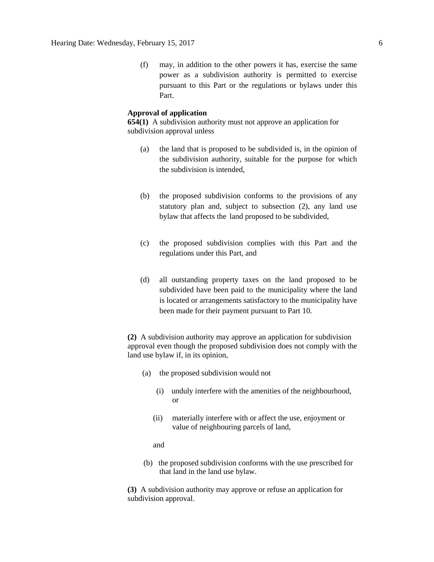(f) may, in addition to the other powers it has, exercise the same power as a subdivision authority is permitted to exercise pursuant to this Part or the regulations or bylaws under this Part.

### **Approval of application**

**654(1)** A subdivision authority must not approve an application for subdivision approval unless

- (a) the land that is proposed to be subdivided is, in the opinion of the subdivision authority, suitable for the purpose for which the subdivision is intended,
- (b) the proposed subdivision conforms to the provisions of any statutory plan and, subject to subsection (2), any land use bylaw that affects the land proposed to be subdivided,
- (c) the proposed subdivision complies with this Part and the regulations under this Part, and
- (d) all outstanding property taxes on the land proposed to be subdivided have been paid to the municipality where the land is located or arrangements satisfactory to the municipality have been made for their payment pursuant to Part 10.

**(2)** A subdivision authority may approve an application for subdivision approval even though the proposed subdivision does not comply with the land use bylaw if, in its opinion,

- (a) the proposed subdivision would not
	- (i) unduly interfere with the amenities of the neighbourhood, or
	- (ii) materially interfere with or affect the use, enjoyment or value of neighbouring parcels of land,

and

(b) the proposed subdivision conforms with the use prescribed for that land in the land use bylaw.

**(3)** A subdivision authority may approve or refuse an application for subdivision approval.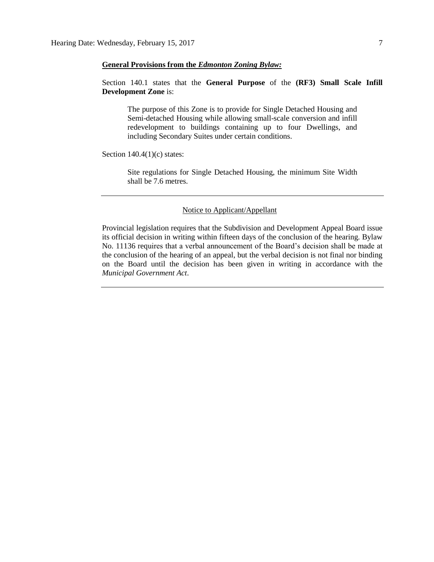### **General Provisions from the** *Edmonton Zoning Bylaw:*

# Section 140.1 states that the **General Purpose** of the **(RF3) Small Scale Infill Development Zone** is:

The purpose of this Zone is to provide for Single Detached Housing and Semi-detached Housing while allowing small-scale conversion and infill redevelopment to buildings containing up to four Dwellings, and including Secondary Suites under certain conditions.

Section  $140.4(1)(c)$  states:

Site regulations for Single Detached Housing, the minimum Site Width shall be 7.6 metres.

## Notice to Applicant/Appellant

Provincial legislation requires that the Subdivision and Development Appeal Board issue its official decision in writing within fifteen days of the conclusion of the hearing. Bylaw No. 11136 requires that a verbal announcement of the Board's decision shall be made at the conclusion of the hearing of an appeal, but the verbal decision is not final nor binding on the Board until the decision has been given in writing in accordance with the *Municipal Government Act*.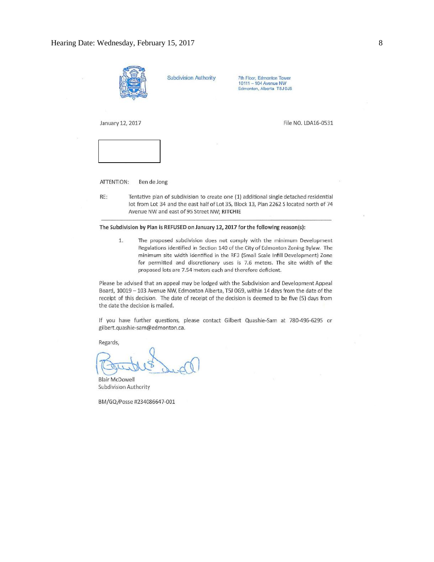

ATTENTION: Ben de Jong

RE:

Tentative plan of subdivision to create one (1) additional single detached residential lot from Lot 34 and the east half of Lot 35, Block 13, Plan 2262 S located north of 74 Avenue NW and east of 95 Street NW; RITCHIE

#### The Subdivision by Plan is REFUSED on January 12, 2017 for the following reason(s):

 $1.$ The proposed subdivision does not comply with the minimum Development Regulations identified in Section 140 of the City of Edmonton Zoning Bylaw. The minimum site width identified in the RF3 (Small Scale Infill Development) Zone for permitted and discretionary uses is 7.6 meters. The site width of the proposed lots are 7.54 meters each and therefore deficient.

Please be advised that an appeal may be lodged with the Subdivision and Development Appeal Board, 10019 - 103 Avenue NW, Edmonton Alberta, T5J 0G9, within 14 days from the date of the receipt of this decision. The date of receipt of the decision is deemed to be five (5) days from the date the decision is mailed.

If you have further questions, please contact Gilbert Quashie-Sam at 780-496-6295 or gilbert.quashie-sam@edmonton.ca.

Regards,

**Blair McDowell** Subdivision Authority

BM/GQ/Posse #234086647-001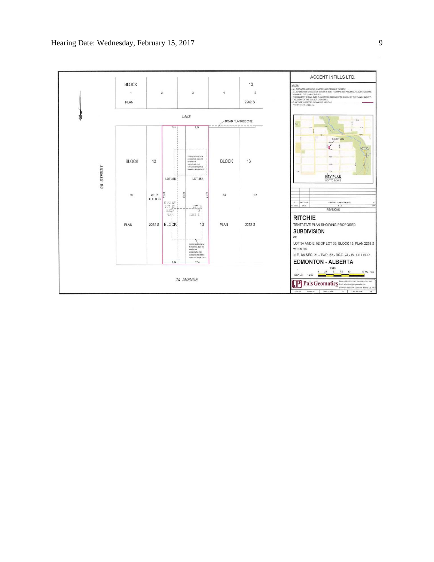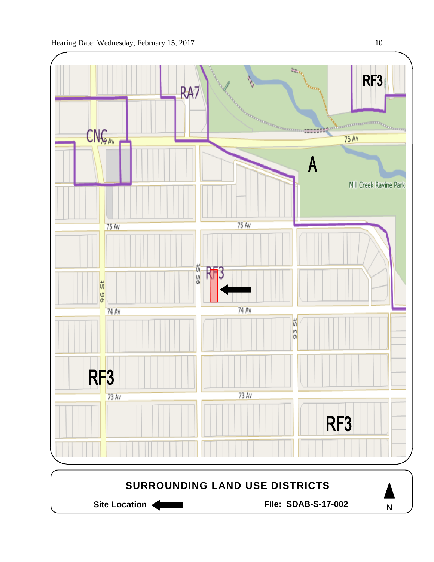

Site Location **Community Contracts** File: SDAB-S-17-002

N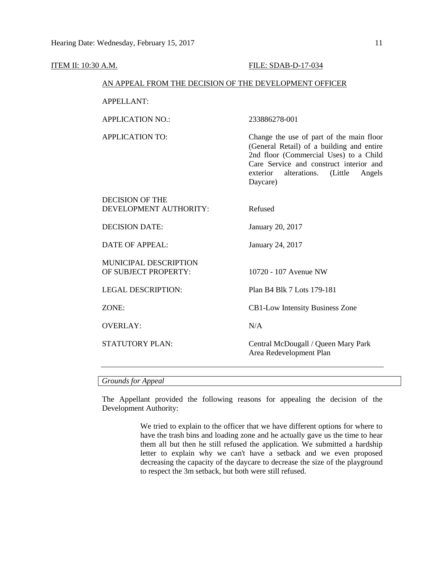# ITEM II: 10:30 A.M. FILE: SDAB-D-17-034 AN APPEAL FROM THE DECISION OF THE DEVELOPMENT OFFICER APPELLANT: APPLICATION NO.: 233886278-001 APPLICATION TO: Change the use of part of the main floor (General Retail) of a building and entire 2nd floor (Commercial Uses) to a Child Care Service and construct interior and exterior alterations. (Little Angels Daycare) DECISION OF THE DEVELOPMENT AUTHORITY: Refused DECISION DATE: January 20, 2017 DATE OF APPEAL: January 24, 2017 MUNICIPAL DESCRIPTION OF SUBJECT PROPERTY: 10720 - 107 Avenue NW LEGAL DESCRIPTION: Plan B4 Blk 7 Lots 179-181 ZONE: CB1-Low Intensity Business Zone OVERLAY: N/A STATUTORY PLAN: Central McDougall / Queen Mary Park Area Redevelopment Plan

### *Grounds for Appeal*

The Appellant provided the following reasons for appealing the decision of the Development Authority:

> We tried to explain to the officer that we have different options for where to have the trash bins and loading zone and he actually gave us the time to hear them all but then he still refused the application. We submitted a hardship letter to explain why we can't have a setback and we even proposed decreasing the capacity of the daycare to decrease the size of the playground to respect the 3m setback, but both were still refused.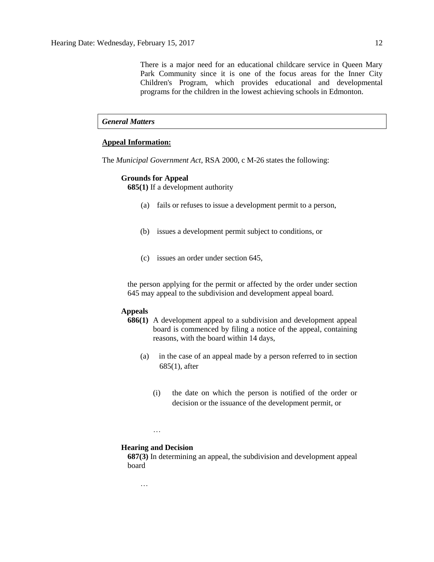There is a major need for an educational childcare service in Queen Mary Park Community since it is one of the focus areas for the Inner City Children's Program, which provides educational and developmental programs for the children in the lowest achieving schools in Edmonton.

# *General Matters*

## **Appeal Information:**

The *Municipal Government Act*, RSA 2000, c M-26 states the following:

#### **Grounds for Appeal**

**685(1)** If a development authority

- (a) fails or refuses to issue a development permit to a person,
- (b) issues a development permit subject to conditions, or
- (c) issues an order under section 645,

the person applying for the permit or affected by the order under section 645 may appeal to the subdivision and development appeal board.

#### **Appeals**

- **686(1)** A development appeal to a subdivision and development appeal board is commenced by filing a notice of the appeal, containing reasons, with the board within 14 days,
	- (a) in the case of an appeal made by a person referred to in section 685(1), after
		- (i) the date on which the person is notified of the order or decision or the issuance of the development permit, or

…

#### **Hearing and Decision**

**687(3)** In determining an appeal, the subdivision and development appeal board

…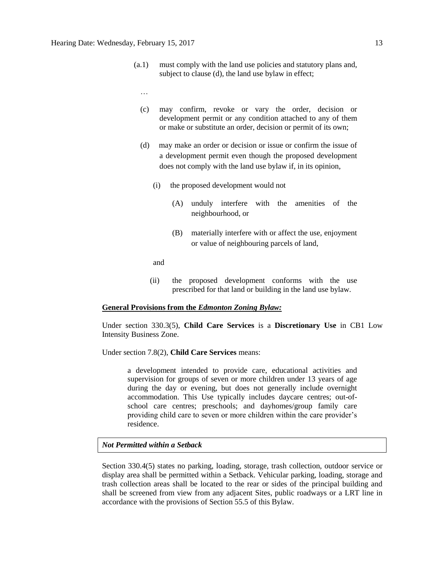- (a.1) must comply with the land use policies and statutory plans and, subject to clause (d), the land use bylaw in effect;
	- …
	- (c) may confirm, revoke or vary the order, decision or development permit or any condition attached to any of them or make or substitute an order, decision or permit of its own;
	- (d) may make an order or decision or issue or confirm the issue of a development permit even though the proposed development does not comply with the land use bylaw if, in its opinion,
		- (i) the proposed development would not
			- (A) unduly interfere with the amenities of the neighbourhood, or
			- (B) materially interfere with or affect the use, enjoyment or value of neighbouring parcels of land,

and

(ii) the proposed development conforms with the use prescribed for that land or building in the land use bylaw.

#### **General Provisions from the** *Edmonton Zoning Bylaw:*

Under section 330.3(5), **Child Care Services** is a **Discretionary Use** in CB1 Low Intensity Business Zone.

Under section 7.8(2), **Child Care Services** means:

a development intended to provide care, educational activities and supervision for groups of seven or more children under 13 years of age during the day or evening, but does not generally include overnight accommodation. This Use typically includes daycare centres; out-ofschool care centres; preschools; and dayhomes/group family care providing child care to seven or more children within the care provider's residence.

## *Not Permitted within a Setback*

Section 330.4(5) states no parking, loading, storage, trash collection, outdoor service or display area shall be permitted within a Setback. Vehicular parking, loading, storage and trash collection areas shall be located to the rear or sides of the principal building and shall be screened from view from any adjacent Sites, public roadways or a LRT line in accordance with the provisions of Section 55.5 of this Bylaw.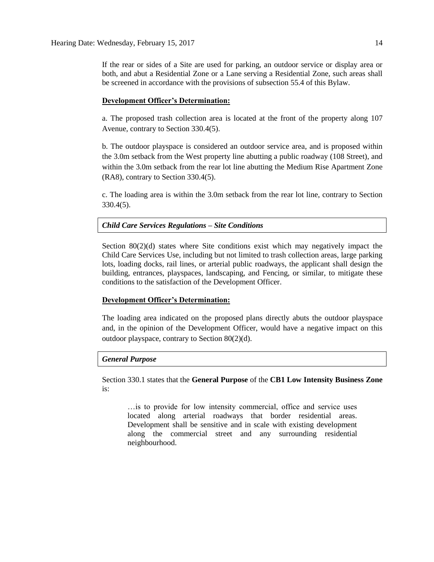If the rear or sides of a Site are used for parking, an outdoor service or display area or both, and abut a Residential Zone or a Lane serving a Residential Zone, such areas shall be screened in accordance with the provisions of subsection 55.4 of this Bylaw.

#### **Development Officer's Determination:**

a. The proposed trash collection area is located at the front of the property along 107 Avenue, contrary to Section 330.4(5).

b. The outdoor playspace is considered an outdoor service area, and is proposed within the 3.0m setback from the West property line abutting a public roadway (108 Street), and within the 3.0m setback from the rear lot line abutting the Medium Rise Apartment Zone (RA8), contrary to Section 330.4(5).

c. The loading area is within the 3.0m setback from the rear lot line, contrary to Section 330.4(5).

#### *Child Care Services Regulations – Site Conditions*

Section 80(2)(d) states where Site conditions exist which may negatively impact the Child Care Services Use, including but not limited to trash collection areas, large parking lots, loading docks, rail lines, or arterial public roadways, the applicant shall design the building, entrances, playspaces, landscaping, and Fencing, or similar, to mitigate these conditions to the satisfaction of the Development Officer.

# **Development Officer's Determination:**

The loading area indicated on the proposed plans directly abuts the outdoor playspace and, in the opinion of the Development Officer, would have a negative impact on this outdoor playspace, contrary to Section 80(2)(d).

#### *General Purpose*

Section 330.1 states that the **General Purpose** of the **CB1 Low Intensity Business Zone**  is:

…is to provide for low intensity commercial, office and service uses located along arterial roadways that border residential areas. Development shall be sensitive and in scale with existing development along the commercial street and any surrounding residential neighbourhood.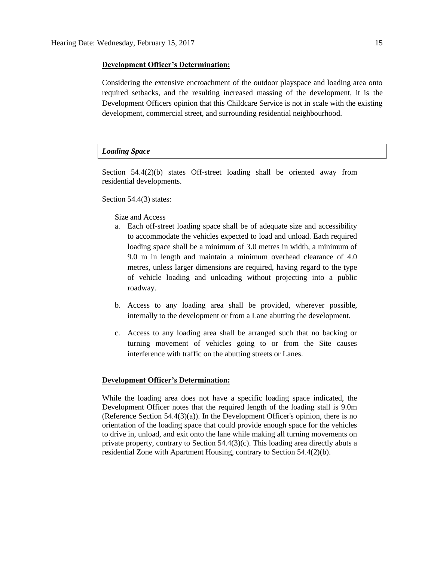#### **Development Officer's Determination:**

Considering the extensive encroachment of the outdoor playspace and loading area onto required setbacks, and the resulting increased massing of the development, it is the Development Officers opinion that this Childcare Service is not in scale with the existing development, commercial street, and surrounding residential neighbourhood.

### *Loading Space*

Section 54.4(2)(b) states Off-street loading shall be oriented away from residential developments.

Section 54.4(3) states:

#### Size and Access

- a. Each off-street loading space shall be of adequate size and accessibility to accommodate the vehicles expected to load and unload. Each required loading space shall be a minimum of 3.0 metres in width, a minimum of 9.0 m in length and maintain a minimum overhead clearance of 4.0 metres, unless larger dimensions are required, having regard to the type of vehicle loading and unloading without projecting into a public roadway.
- b. Access to any loading area shall be provided, wherever possible, internally to the development or from a Lane abutting the development.
- c. Access to any loading area shall be arranged such that no backing or turning movement of vehicles going to or from the Site causes interference with traffic on the abutting streets or Lanes.

### **Development Officer's Determination:**

While the loading area does not have a specific loading space indicated, the Development Officer notes that the required length of the loading stall is 9.0m (Reference Section 54.4(3)(a)). In the Development Officer's opinion, there is no orientation of the loading space that could provide enough space for the vehicles to drive in, unload, and exit onto the lane while making all turning movements on private property, contrary to Section  $54.4(3)(c)$ . This loading area directly abuts a residential Zone with Apartment Housing, contrary to Section 54.4(2)(b).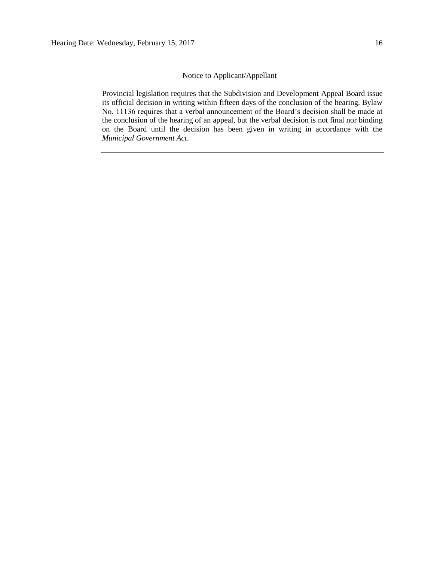# Notice to Applicant/Appellant

Provincial legislation requires that the Subdivision and Development Appeal Board issue its official decision in writing within fifteen days of the conclusion of the hearing. Bylaw No. 11136 requires that a verbal announcement of the Board's decision shall be made at the conclusion of the hearing of an appeal, but the verbal decision is not final nor binding on the Board until the decision has been given in writing in accordance with the *Municipal Government Act*.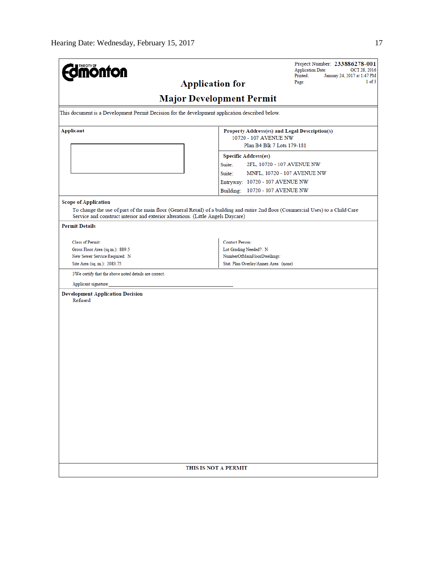| <b>monton</b><br><b>Application for</b>                                                         | Project Number: 233886278-001<br><b>Application Date:</b><br>OCT 28, 2016<br>Printed:<br>January 24, 2017 at 1:47 PM<br>$1$ of $3$<br>Page: |  |  |  |  |  |  |  |  |
|-------------------------------------------------------------------------------------------------|---------------------------------------------------------------------------------------------------------------------------------------------|--|--|--|--|--|--|--|--|
| <b>Major Development Permit</b>                                                                 |                                                                                                                                             |  |  |  |  |  |  |  |  |
| This document is a Development Permit Decision for the development application described below. |                                                                                                                                             |  |  |  |  |  |  |  |  |
| Applicant                                                                                       | Property Address(es) and Legal Description(s)<br>10720 - 107 AVENUE NW                                                                      |  |  |  |  |  |  |  |  |
|                                                                                                 | Plan B4 Blk 7 Lots 179-181<br><b>Specific Address(es)</b>                                                                                   |  |  |  |  |  |  |  |  |
|                                                                                                 | Suite:<br>2FL, 10720 - 107 AVENUE NW                                                                                                        |  |  |  |  |  |  |  |  |
|                                                                                                 | Suite:<br>MNFL, 10720 - 107 AVENUE NW                                                                                                       |  |  |  |  |  |  |  |  |
|                                                                                                 | Entryway: 10720 - 107 AVENUE NW                                                                                                             |  |  |  |  |  |  |  |  |
|                                                                                                 | Building: 10720 - 107 AVENUE NW                                                                                                             |  |  |  |  |  |  |  |  |
| <b>Scope of Application</b>                                                                     |                                                                                                                                             |  |  |  |  |  |  |  |  |
| Service and construct interior and exterior alterations. (Little Angels Daycare)                | To change the use of part of the main floor (General Retail) of a building and entire 2nd floor (Commercial Uses) to a Child Care           |  |  |  |  |  |  |  |  |
| <b>Permit Details</b>                                                                           |                                                                                                                                             |  |  |  |  |  |  |  |  |
| Class of Permit:                                                                                | <b>Contact Person:</b>                                                                                                                      |  |  |  |  |  |  |  |  |
| Gross Floor Area (sq.m.): 889.5                                                                 | Lot Grading Needed?: N                                                                                                                      |  |  |  |  |  |  |  |  |
| New Sewer Service Required: N                                                                   | NumberOfMainFloorDwellings:                                                                                                                 |  |  |  |  |  |  |  |  |
| Site Area (sq. m.): 2083.75                                                                     | Stat. Plan Overlay/Annex Area: (none)                                                                                                       |  |  |  |  |  |  |  |  |
| I/We certify that the above noted details are correct.                                          |                                                                                                                                             |  |  |  |  |  |  |  |  |
| Applicant signature:                                                                            |                                                                                                                                             |  |  |  |  |  |  |  |  |
| <b>Development Application Decision</b><br>Refused                                              |                                                                                                                                             |  |  |  |  |  |  |  |  |
|                                                                                                 |                                                                                                                                             |  |  |  |  |  |  |  |  |
|                                                                                                 |                                                                                                                                             |  |  |  |  |  |  |  |  |
|                                                                                                 |                                                                                                                                             |  |  |  |  |  |  |  |  |
|                                                                                                 |                                                                                                                                             |  |  |  |  |  |  |  |  |
|                                                                                                 |                                                                                                                                             |  |  |  |  |  |  |  |  |
|                                                                                                 |                                                                                                                                             |  |  |  |  |  |  |  |  |
|                                                                                                 |                                                                                                                                             |  |  |  |  |  |  |  |  |
|                                                                                                 |                                                                                                                                             |  |  |  |  |  |  |  |  |
|                                                                                                 |                                                                                                                                             |  |  |  |  |  |  |  |  |
|                                                                                                 |                                                                                                                                             |  |  |  |  |  |  |  |  |
|                                                                                                 |                                                                                                                                             |  |  |  |  |  |  |  |  |
|                                                                                                 |                                                                                                                                             |  |  |  |  |  |  |  |  |
|                                                                                                 |                                                                                                                                             |  |  |  |  |  |  |  |  |
|                                                                                                 |                                                                                                                                             |  |  |  |  |  |  |  |  |
|                                                                                                 |                                                                                                                                             |  |  |  |  |  |  |  |  |
|                                                                                                 |                                                                                                                                             |  |  |  |  |  |  |  |  |
|                                                                                                 |                                                                                                                                             |  |  |  |  |  |  |  |  |
|                                                                                                 |                                                                                                                                             |  |  |  |  |  |  |  |  |
|                                                                                                 |                                                                                                                                             |  |  |  |  |  |  |  |  |
|                                                                                                 | THIS IS NOT A PERMIT                                                                                                                        |  |  |  |  |  |  |  |  |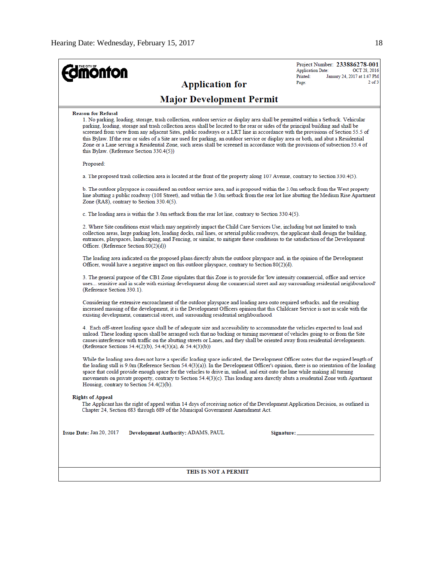| THE CITY OF<br><b>ionfon</b><br><b>Application for</b>                                                                                                                                                                                                                                                                                                                                                                                                                                                                                                                                                                                                                                                                                                      | Project Number: 233886278-001<br><b>Application Date:</b><br>OCT 28, 2016<br>Printed:<br>January 24, 2017 at 1:47 PM<br>$2$ of $3$<br>Page: |  |  |  |  |  |  |
|-------------------------------------------------------------------------------------------------------------------------------------------------------------------------------------------------------------------------------------------------------------------------------------------------------------------------------------------------------------------------------------------------------------------------------------------------------------------------------------------------------------------------------------------------------------------------------------------------------------------------------------------------------------------------------------------------------------------------------------------------------------|---------------------------------------------------------------------------------------------------------------------------------------------|--|--|--|--|--|--|
| <b>Major Development Permit</b>                                                                                                                                                                                                                                                                                                                                                                                                                                                                                                                                                                                                                                                                                                                             |                                                                                                                                             |  |  |  |  |  |  |
| <b>Reason for Refusal</b><br>1. No parking, loading, storage, trash collection, outdoor service or display area shall be permitted within a Setback. Vehicular<br>parking, loading, storage and trash collection areas shall be located to the rear or sides of the principal building and shall be<br>screened from view from any adjacent Sites, public roadways or a LRT line in accordance with the provisions of Section 55.5 of<br>this Bylaw. If the rear or sides of a Site are used for parking, an outdoor service or display area or both, and abut a Residential<br>Zone or a Lane serving a Residential Zone, such areas shall be screened in accordance with the provisions of subsection 55.4 of<br>this Bylaw. (Reference Section 330.4(5)) |                                                                                                                                             |  |  |  |  |  |  |
| Proposed:                                                                                                                                                                                                                                                                                                                                                                                                                                                                                                                                                                                                                                                                                                                                                   |                                                                                                                                             |  |  |  |  |  |  |
| a. The proposed trash collection area is located at the front of the property along 107 Avenue, contrary to Section 330.4(5).                                                                                                                                                                                                                                                                                                                                                                                                                                                                                                                                                                                                                               |                                                                                                                                             |  |  |  |  |  |  |
| b. The outdoor playspace is considered an outdoor service area, and is proposed within the 3.0m setback from the West property<br>line abutting a public roadway (108 Street), and within the 3.0m setback from the rear lot line abutting the Medium Rise Apartment<br>Zone (RA8), contrary to Section 330.4(5).                                                                                                                                                                                                                                                                                                                                                                                                                                           |                                                                                                                                             |  |  |  |  |  |  |
| c. The loading area is within the 3.0m setback from the rear lot line, contrary to Section 330.4(5).                                                                                                                                                                                                                                                                                                                                                                                                                                                                                                                                                                                                                                                        |                                                                                                                                             |  |  |  |  |  |  |
| 2. Where Site conditions exist which may negatively impact the Child Care Services Use, including but not limited to trash<br>collection areas, large parking lots, loading docks, rail lines, or arterial public roadways, the applicant shall design the building,<br>entrances, playspaces, landscaping, and Fencing, or similar, to mitigate these conditions to the satisfaction of the Development<br>Officer. (Reference Section 80(2)(d))                                                                                                                                                                                                                                                                                                           |                                                                                                                                             |  |  |  |  |  |  |
| The loading area indicated on the proposed plans directly abuts the outdoor playspace and, in the opinion of the Development<br>Officer, would have a negative impact on this outdoor playspace, contrary to Section $80(2)(d)$ .                                                                                                                                                                                                                                                                                                                                                                                                                                                                                                                           |                                                                                                                                             |  |  |  |  |  |  |
| 3. The general purpose of the CB1 Zone stipulates that this Zone is to provide for 'low intensity commercial, office and service<br>uses sensitive and in scale with existing development along the commercial street and any surrounding residential neighbourhood'<br>(Reference Section 330.1).                                                                                                                                                                                                                                                                                                                                                                                                                                                          |                                                                                                                                             |  |  |  |  |  |  |
| Considering the extensive encroachment of the outdoor playspace and loading area onto required setbacks, and the resulting<br>increased massing of the development, it is the Development Officers opinion that this Childcare Service is not in scale with the<br>existing development, commercial street, and surrounding residential neighbourhood.                                                                                                                                                                                                                                                                                                                                                                                                      |                                                                                                                                             |  |  |  |  |  |  |
| 4. Each off-street loading space shall be of adequate size and accessibility to accommodate the vehicles expected to load and<br>unload. These loading spaces shall be arranged such that no backing or turning movement of vehicles going to or from the Site<br>causes interference with traffic on the abutting streets or Lanes, and they shall be oriented away from residential developments.<br>(Reference Sections 54.4(2)(b), 54.4(3)(a), & 54.4(3)(b))                                                                                                                                                                                                                                                                                            |                                                                                                                                             |  |  |  |  |  |  |
| While the loading area does not have a specific loading space indicated, the Development Officer notes that the required length of<br>the loading stall is $9.0$ m (Reference Section 54.4(3)(a)). In the Development Officer's opinion, there is no orientation of the loading<br>space that could provide enough space for the vehicles to drive in, unload, and exit onto the lane while making all turning<br>movements on private property, contrary to Section 54.4(3)(c). This loading area directly abuts a residential Zone with Apartment<br>Housing, contrary to Section 54.4(2)(b).                                                                                                                                                             |                                                                                                                                             |  |  |  |  |  |  |
| <b>Rights of Appeal</b><br>The Applicant has the right of appeal within 14 days of receiving notice of the Development Application Decision, as outlined in<br>Chapter 24, Section 683 through 689 of the Municipal Government Amendment Act.                                                                                                                                                                                                                                                                                                                                                                                                                                                                                                               |                                                                                                                                             |  |  |  |  |  |  |
| Issue Date: Jan 20, 2017<br>Development Authority: ADAMS, PAUL                                                                                                                                                                                                                                                                                                                                                                                                                                                                                                                                                                                                                                                                                              |                                                                                                                                             |  |  |  |  |  |  |
| THIS IS NOT A PERMIT                                                                                                                                                                                                                                                                                                                                                                                                                                                                                                                                                                                                                                                                                                                                        |                                                                                                                                             |  |  |  |  |  |  |
|                                                                                                                                                                                                                                                                                                                                                                                                                                                                                                                                                                                                                                                                                                                                                             |                                                                                                                                             |  |  |  |  |  |  |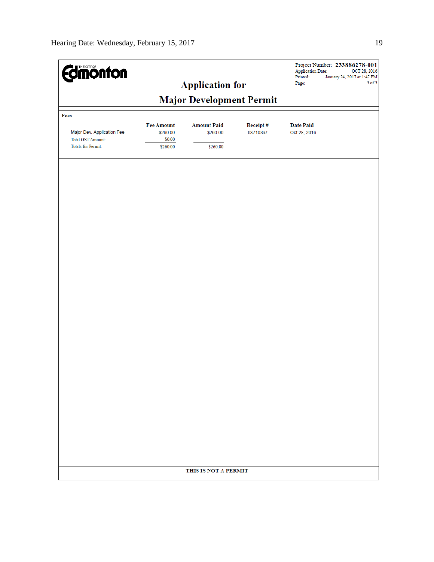| <b>Edinonton</b><br><b>Application for</b>            |                               |                                |                      | Project Number: 233886278-001<br><b>Application Date:</b><br>OCT 28, 2016<br>Printed:<br>January 24, 2017 at 1:47 PM |  |  |  |  |  |
|-------------------------------------------------------|-------------------------------|--------------------------------|----------------------|----------------------------------------------------------------------------------------------------------------------|--|--|--|--|--|
|                                                       | Page:                         | $3$ of $3$                     |                      |                                                                                                                      |  |  |  |  |  |
| <b>Major Development Permit</b>                       |                               |                                |                      |                                                                                                                      |  |  |  |  |  |
| Fees                                                  |                               |                                |                      |                                                                                                                      |  |  |  |  |  |
| Major Dev. Application Fee                            | <b>Fee Amount</b><br>\$260.00 | <b>Amount Paid</b><br>\$260.00 | Receipt#<br>03710367 | <b>Date Paid</b><br>Oct 28, 2016                                                                                     |  |  |  |  |  |
| <b>Total GST Amount:</b><br><b>Totals for Permit:</b> | \$0.00<br>\$260.00            | \$260.00                       |                      |                                                                                                                      |  |  |  |  |  |
|                                                       |                               |                                |                      |                                                                                                                      |  |  |  |  |  |
|                                                       |                               |                                |                      |                                                                                                                      |  |  |  |  |  |
|                                                       |                               |                                |                      |                                                                                                                      |  |  |  |  |  |
|                                                       |                               |                                |                      |                                                                                                                      |  |  |  |  |  |
|                                                       |                               |                                |                      |                                                                                                                      |  |  |  |  |  |
|                                                       |                               |                                |                      |                                                                                                                      |  |  |  |  |  |
|                                                       |                               |                                |                      |                                                                                                                      |  |  |  |  |  |
|                                                       |                               |                                |                      |                                                                                                                      |  |  |  |  |  |
|                                                       |                               |                                |                      |                                                                                                                      |  |  |  |  |  |
|                                                       |                               |                                |                      |                                                                                                                      |  |  |  |  |  |
|                                                       |                               |                                |                      |                                                                                                                      |  |  |  |  |  |
|                                                       |                               |                                |                      |                                                                                                                      |  |  |  |  |  |
|                                                       |                               |                                |                      |                                                                                                                      |  |  |  |  |  |
|                                                       |                               |                                |                      |                                                                                                                      |  |  |  |  |  |
|                                                       |                               |                                |                      |                                                                                                                      |  |  |  |  |  |
|                                                       |                               |                                |                      |                                                                                                                      |  |  |  |  |  |
|                                                       |                               |                                |                      |                                                                                                                      |  |  |  |  |  |
|                                                       |                               | THIS IS NOT A PERMIT           |                      |                                                                                                                      |  |  |  |  |  |
|                                                       |                               |                                |                      |                                                                                                                      |  |  |  |  |  |